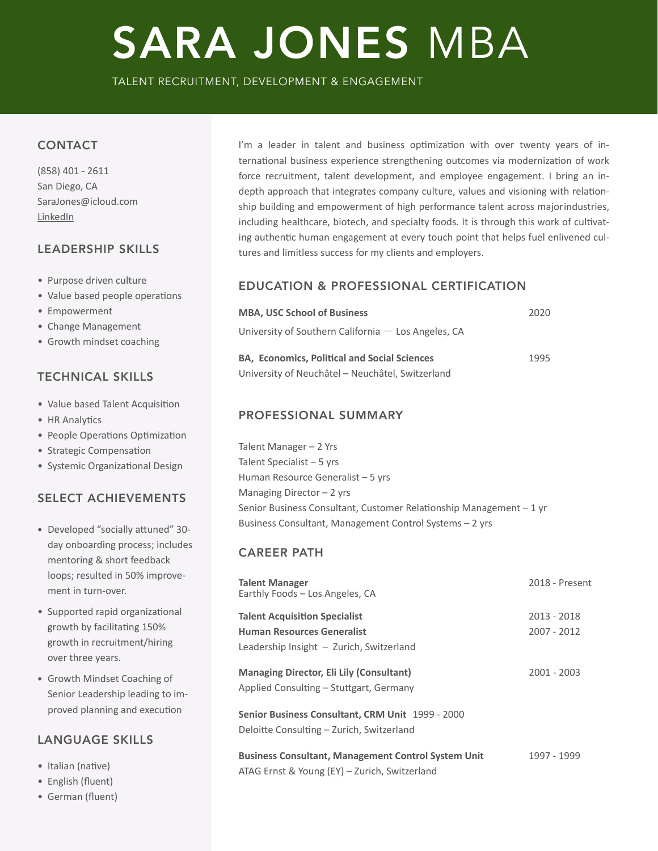# SARA JONES MBA

TALENT RECRUITMENT, DEVELOPMENT & ENGAGEMENT

# **CONTACT**

(858) 401 - 2611 San Diego, CA SaraJones@icloud.com **[LinkedIn](https://www.linkedin.com)** 

# LEADERSHIP SKILLS

- Purpose driven culture
- Value based people operations
- Empowerment
- Change Management
- Growth mindset coaching

# TECHNICAL SKILLS

- Value based Talent Acquisition
- HR Analytics
- People Operations Optimization
- Strategic Compensation
- Systemic Organizational Design

# SELECT ACHIEVEMENTS

- Developed "socially attuned" 30day onboarding process; includes mentoring & short feedback loops; resulted in 50% improvement in turn-over.
- Supported rapid organizational growth by facilitating 150% growth in recruitment/hiring over three years.
- Growth Mindset Coaching of Senior Leadership leading to improved planning and execution

# LANGUAGE SKILLS

- Italian (native)
- English (fluent)
- German (fluent)

I'm a leader in talent and business optimization with over twenty years of international business experience strengthening outcomes via modernization of work force recruitment, talent development, and employee engagement. I bring an indepth approach that integrates company culture, values and visioning with relationship building and empowerment of high performance talent across majorindustries, including healthcare, biotech, and specialty foods. It is through this work of cultivating authentic human engagement at every touch point that helps fuel enlivened cultures and limitless success for my clients and employers.

# EDUCATION & PROFESSIONAL CERTIFICATION

| <b>MBA, USC School of Business</b>                    | 2020 |
|-------------------------------------------------------|------|
| University of Southern California $-$ Los Angeles, CA |      |
| <b>BA, Economics, Political and Social Sciences</b>   | 1995 |
| University of Neuchâtel - Neuchâtel, Switzerland      |      |

# PROFESSIONAL SUMMARY

Talent Manager - 2 Yrs Talent Specialist  $-5$  yrs Human Resource Generalist - 5 yrs Managing Director  $-2$  yrs Senior Business Consultant, Customer Relationship Management  $-1$  yr Business Consultant, Management Control Systems - 2 yrs

# CAREER PATH

| <b>Talent Manager</b><br>Earthly Foods - Los Angeles, CA   | 2018 - Present |
|------------------------------------------------------------|----------------|
| <b>Talent Acquisition Specialist</b>                       | 2013 - 2018    |
| <b>Human Resources Generalist</b>                          | $2007 - 2012$  |
| Leadership Insight - Zurich, Switzerland                   |                |
| <b>Managing Director, Eli Lily (Consultant)</b>            | $2001 - 2003$  |
| Applied Consulting - Stuttgart, Germany                    |                |
| Senior Business Consultant, CRM Unit 1999 - 2000           |                |
| Deloitte Consulting – Zurich, Switzerland                  |                |
| <b>Business Consultant, Management Control System Unit</b> | 1997 - 1999    |
| ATAG Ernst & Young (EY) - Zurich, Switzerland              |                |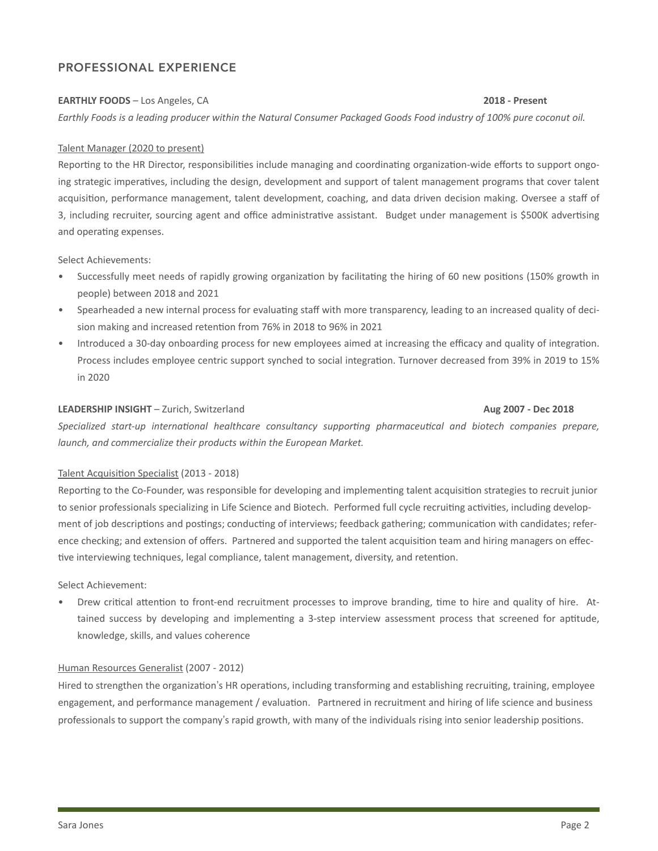# PROFESSIONAL EXPERIENCE

# **EARTHLY FOODS** – Los Angeles, CA **2018** - **Present**

*Earthly Foods is a leading producer within the Natural Consumer Packaged Goods Food industry of 100% pure coconut oil.* 

### Talent Manager (2020 to present)

Reporting to the HR Director, responsibilities include managing and coordinating organization-wide efforts to support ongoing strategic imperatives, including the design, development and support of talent management programs that cover talent acquisition, performance management, talent development, coaching, and data driven decision making. Oversee a staff of 3, including recruiter, sourcing agent and office administrative assistant. Budget under management is \$500K advertising and operating expenses.

Select Achievements:

- Successfully meet needs of rapidly growing organization by facilitating the hiring of 60 new positions (150% growth in people) between 2018 and 2021
- Spearheaded a new internal process for evaluating staff with more transparency, leading to an increased quality of decision making and increased retention from 76% in 2018 to 96% in 2021
- Introduced a 30-day onboarding process for new employees aimed at increasing the efficacy and quality of integration. Process includes employee centric support synched to social integration. Turnover decreased from 39% in 2019 to 15% in 2020

### **LEADERSHIP INSIGHT** – Zurich, Switzerland *Number 10 Aug 2007* **- Dec 2018**

Specialized start-up international healthcare consultancy supporting pharmaceutical and biotech companies prepare, *launch, and commercialize their products within the European Market.* 

# Talent Acquisition Specialist (2013 - 2018)

Reporting to the Co-Founder, was responsible for developing and implementing talent acquisition strategies to recruit junior to senior professionals specializing in Life Science and Biotech. Performed full cycle recruiting activities, including development of job descriptions and postings; conducting of interviews; feedback gathering; communication with candidates; reference checking; and extension of offers. Partnered and supported the talent acquisition team and hiring managers on effective interviewing techniques, legal compliance, talent management, diversity, and retention.

Select Achievement:

Drew critical attention to front-end recruitment processes to improve branding, time to hire and quality of hire. Attained success by developing and implementing a 3-step interview assessment process that screened for aptitude, knowledge, skills, and values coherence

# Human Resources Generalist (2007 - 2012)

Hired to strengthen the organization's HR operations, including transforming and establishing recruiting, training, employee engagement, and performance management / evaluation. Partnered in recruitment and hiring of life science and business professionals to support the company's rapid growth, with many of the individuals rising into senior leadership positions.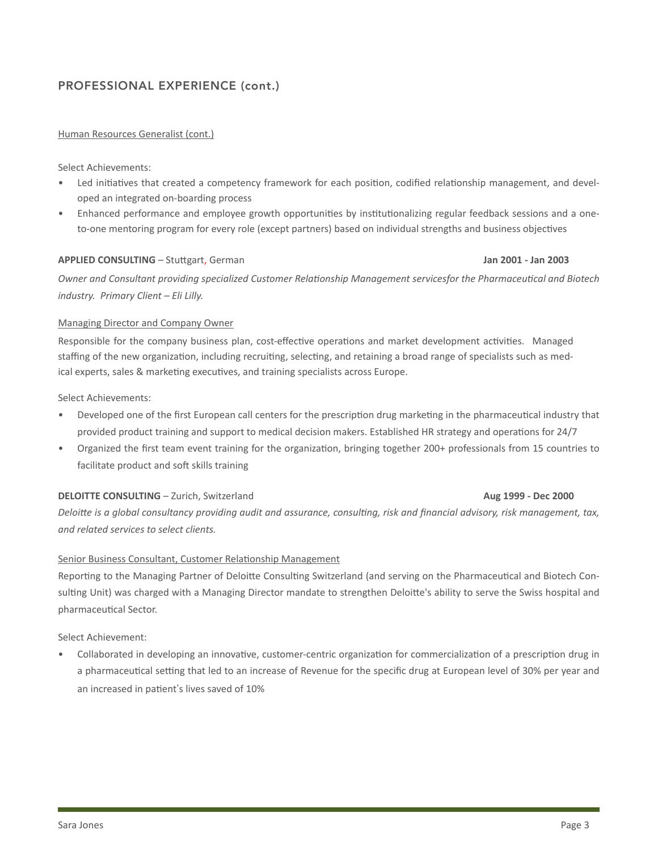# PROFESSIONAL EXPERIENCE (cont.)

# Human Resources Generalist (cont.)

Select Achievements:

- Led initiatives that created a competency framework for each position, codified relationship management, and developed an integrated on-boarding process
- Enhanced performance and employee growth opportunities by institutionalizing regular feedback sessions and a oneto-one mentoring program for every role (except partners) based on individual strengths and business objectives

# **APPLIED CONSULTING** – Stuttgart, German **and Consultance of Consultance Consultance Consultance Consultance Of Consultance Consultance Consultance Of Consultance Consultance Of Consultance Consultance Consultance Of Consu**

# *Owner and Consultant providing specialized Customer Relationship Management servicesfor the Pharmaceutical and Biotech industry. Primary Client – Eli Lilly.*

# Managing Director and Company Owner

Responsible for the company business plan, cost-effective operations and market development activities. Managed staffing of the new organization, including recruiting, selecting, and retaining a broad range of specialists such as medical experts, sales & marketing executives, and training specialists across Europe.

Select Achievements:

- Developed one of the first European call centers for the prescription drug marketing in the pharmaceutical industry that provided product training and support to medical decision makers. Established HR strategy and operations for 24/7
- Organized the first team event training for the organization, bringing together 200+ professionals from 15 countries to facilitate product and soft skills training

# **DELOITTE CONSULTING** – Zurich, Switzerland *CONSULTING* – Zurich, Switzerland *Aug* 1999 - Dec 2000

# *Deloitte* is a global consultancy providing audit and assurance, consulting, risk and financial advisory, risk management, tax, *and related services to select clients.*

# Senior Business Consultant, Customer Relationship Management

Reporting to the Managing Partner of Deloitte Consulting Switzerland (and serving on the Pharmaceutical and Biotech Consulting Unit) was charged with a Managing Director mandate to strengthen Deloitte's ability to serve the Swiss hospital and pharmaceutical Sector.

Select Achievement:

Collaborated in developing an innovative, customer-centric organization for commercialization of a prescription drug in a pharmaceutical setting that led to an increase of Revenue for the specific drug at European level of 30% per year and an increased in patient's lives saved of 10%